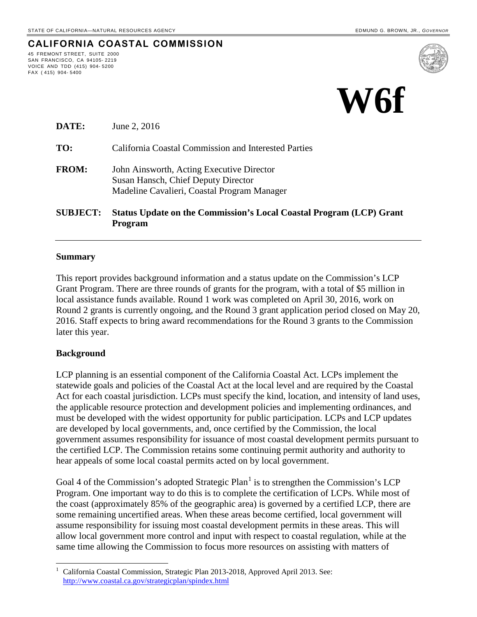45 FREMONT STREET, SUITE 2000 SAN FRANCISCO, CA 94105- 2219 VOICE AND TDD (415) 904- 5200

FAX ( 415) 904- 5400

**CALIFORNIA COASTAL COMMISSION**



| <b>SUBJECT:</b> | <b>Status Update on the Commission's Local Coastal Program (LCP) Grant</b><br><b>Program</b>                                    |
|-----------------|---------------------------------------------------------------------------------------------------------------------------------|
| <b>FROM:</b>    | John Ainsworth, Acting Executive Director<br>Susan Hansch, Chief Deputy Director<br>Madeline Cavalieri, Coastal Program Manager |
| TO:             | <b>California Coastal Commission and Interested Parties</b>                                                                     |
| DATE:           | June 2, 2016                                                                                                                    |

#### **Summary**

This report provides background information and a status update on the Commission's LCP Grant Program. There are three rounds of grants for the program, with a total of \$5 million in local assistance funds available. Round 1 work was completed on April 30, 2016, work on Round 2 grants is currently ongoing, and the Round 3 grant application period closed on May 20, 2016. Staff expects to bring award recommendations for the Round 3 grants to the Commission later this year.

#### **Background**

LCP planning is an essential component of the California Coastal Act. LCPs implement the statewide goals and policies of the Coastal Act at the local level and are required by the Coastal Act for each coastal jurisdiction. LCPs must specify the kind, location, and intensity of land uses, the applicable resource protection and development policies and implementing ordinances, and must be developed with the widest opportunity for public participation. LCPs and LCP updates are developed by local governments, and, once certified by the Commission, the local government assumes responsibility for issuance of most coastal development permits pursuant to the certified LCP. The Commission retains some continuing permit authority and authority to hear appeals of some local coastal permits acted on by local government.

Goal 4 of the Commission's adopted Strategic Plan<sup>[1](#page-0-0)</sup> is to strengthen the Commission's LCP Program. One important way to do this is to complete the certification of LCPs. While most of the coast (approximately 85% of the geographic area) is governed by a certified LCP, there are some remaining uncertified areas. When these areas become certified, local government will assume responsibility for issuing most coastal development permits in these areas. This will allow local government more control and input with respect to coastal regulation, while at the same time allowing the Commission to focus more resources on assisting with matters of

<span id="page-0-0"></span> 1 California Coastal Commission, Strategic Plan 2013-2018, Approved April 2013. See: <http://www.coastal.ca.gov/strategicplan/spindex.html>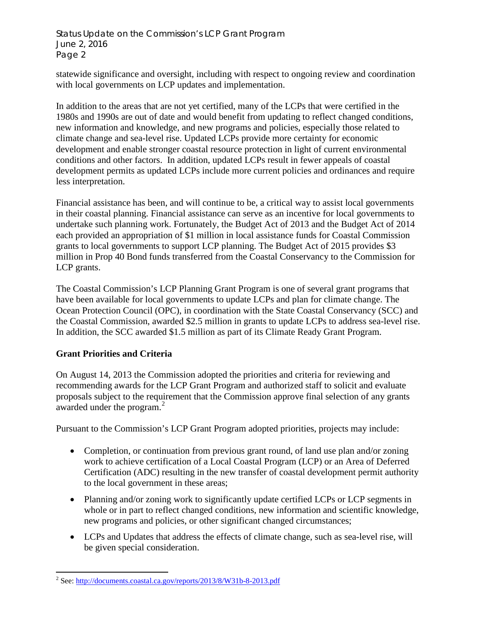statewide significance and oversight, including with respect to ongoing review and coordination with local governments on LCP updates and implementation.

In addition to the areas that are not yet certified, many of the LCPs that were certified in the 1980s and 1990s are out of date and would benefit from updating to reflect changed conditions, new information and knowledge, and new programs and policies, especially those related to climate change and sea-level rise. Updated LCPs provide more certainty for economic development and enable stronger coastal resource protection in light of current environmental conditions and other factors. In addition, updated LCPs result in fewer appeals of coastal development permits as updated LCPs include more current policies and ordinances and require less interpretation.

Financial assistance has been, and will continue to be, a critical way to assist local governments in their coastal planning. Financial assistance can serve as an incentive for local governments to undertake such planning work. Fortunately, the Budget Act of 2013 and the Budget Act of 2014 each provided an appropriation of \$1 million in local assistance funds for Coastal Commission grants to local governments to support LCP planning. The Budget Act of 2015 provides \$3 million in Prop 40 Bond funds transferred from the Coastal Conservancy to the Commission for LCP grants.

The Coastal Commission's LCP Planning Grant Program is one of several grant programs that have been available for local governments to update LCPs and plan for climate change. The Ocean Protection Council (OPC), in coordination with the State Coastal Conservancy (SCC) and the Coastal Commission, awarded \$2.5 million in grants to update LCPs to address sea-level rise. In addition, the SCC awarded \$1.5 million as part of its Climate Ready Grant Program.

# **Grant Priorities and Criteria**

On August 14, 2013 the Commission adopted the priorities and criteria for reviewing and recommending awards for the LCP Grant Program and authorized staff to solicit and evaluate proposals subject to the requirement that the Commission approve final selection of any grants awarded under the program.<sup>[2](#page-1-0)</sup>

Pursuant to the Commission's LCP Grant Program adopted priorities, projects may include:

- Completion, or continuation from previous grant round, of land use plan and/or zoning work to achieve certification of a Local Coastal Program (LCP) or an Area of Deferred Certification (ADC) resulting in the new transfer of coastal development permit authority to the local government in these areas;
- Planning and/or zoning work to significantly update certified LCPs or LCP segments in whole or in part to reflect changed conditions, new information and scientific knowledge, new programs and policies, or other significant changed circumstances;
- LCPs and Updates that address the effects of climate change, such as sea-level rise, will be given special consideration.

<span id="page-1-0"></span> $\overline{a}$ <sup>2</sup> See: http://documents.coastal.ca.gov/reports/2013/8/W31b-8-2013.pdf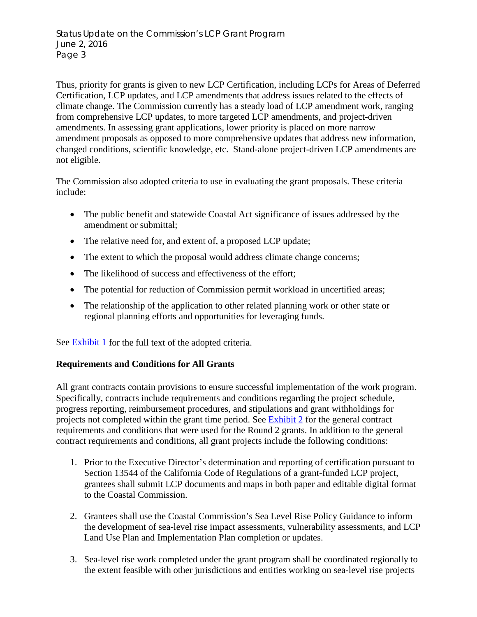Thus, priority for grants is given to new LCP Certification, including LCPs for Areas of Deferred Certification, LCP updates, and LCP amendments that address issues related to the effects of climate change. The Commission currently has a steady load of LCP amendment work, ranging from comprehensive LCP updates, to more targeted LCP amendments, and project-driven amendments. In assessing grant applications, lower priority is placed on more narrow amendment proposals as opposed to more comprehensive updates that address new information, changed conditions, scientific knowledge, etc. Stand-alone project-driven LCP amendments are not eligible.

The Commission also adopted criteria to use in evaluating the grant proposals. These criteria include:

- The public benefit and statewide Coastal Act significance of issues addressed by the amendment or submittal;
- The relative need for, and extent of, a proposed LCP update;
- The extent to which the proposal would address climate change concerns;
- The likelihood of success and effectiveness of the effort;
- The potential for reduction of Commission permit workload in uncertified areas;
- The relationship of the application to other related planning work or other state or regional planning efforts and opportunities for leveraging funds.

See [Exhibit 1](#page-8-0) for the full text of the adopted criteria.

# **Requirements and Conditions for All Grants**

All grant contracts contain provisions to ensure successful implementation of the work program. Specifically, contracts include requirements and conditions regarding the project schedule, progress reporting, reimbursement procedures, and stipulations and grant withholdings for projects not completed within the grant time period. See [Exhibit 2](#page-10-0) for the general contract requirements and conditions that were used for the Round 2 grants. In addition to the general contract requirements and conditions, all grant projects include the following conditions:

- 1. Prior to the Executive Director's determination and reporting of certification pursuant to Section 13544 of the California Code of Regulations of a grant-funded LCP project, grantees shall submit LCP documents and maps in both paper and editable digital format to the Coastal Commission.
- 2. Grantees shall use the Coastal Commission's Sea Level Rise Policy Guidance to inform the development of sea-level rise impact assessments, vulnerability assessments, and LCP Land Use Plan and Implementation Plan completion or updates.
- 3. Sea-level rise work completed under the grant program shall be coordinated regionally to the extent feasible with other jurisdictions and entities working on sea-level rise projects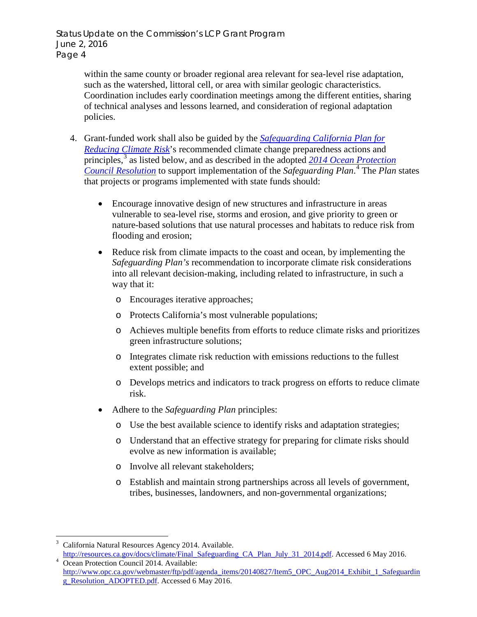within the same county or broader regional area relevant for sea-level rise adaptation, such as the watershed, littoral cell, or area with similar geologic characteristics. Coordination includes early coordination meetings among the different entities, sharing of technical analyses and lessons learned, and consideration of regional adaptation policies.

- 4. Grant-funded work shall also be guided by the *[Safeguarding California Plan for](http://resources.ca.gov/docs/climate/Final_Safeguarding_CA_Plan_July_31_2014.pdf)  [Reducing Climate Risk](http://resources.ca.gov/docs/climate/Final_Safeguarding_CA_Plan_July_31_2014.pdf)*'s recommended climate change preparedness actions and principles,<sup>[3](#page-3-0)</sup> as listed below, and as described in the adopted 2014 Ocean Protection *[Council Resolution](http://www.opc.ca.gov/webmaster/ftp/pdf/agenda_items/20140827/Item5_OPC_Aug2014_Exhibit_1_Safeguarding_Resolution_ADOPTED.pdf)* to support implementation of the *Safeguarding Plan*. [4](#page-3-1) The *Plan* states that projects or programs implemented with state funds should:
	- Encourage innovative design of new structures and infrastructure in areas vulnerable to sea-level rise, storms and erosion, and give priority to green or nature-based solutions that use natural processes and habitats to reduce risk from flooding and erosion;
	- Reduce risk from climate impacts to the coast and ocean, by implementing the *Safeguarding Plan's* recommendation to incorporate climate risk considerations into all relevant decision-making, including related to infrastructure, in such a way that it:
		- o Encourages iterative approaches;
		- o Protects California's most vulnerable populations;
		- o Achieves multiple benefits from efforts to reduce climate risks and prioritizes green infrastructure solutions;
		- o Integrates climate risk reduction with emissions reductions to the fullest extent possible; and
		- o Develops metrics and indicators to track progress on efforts to reduce climate risk.
	- Adhere to the *Safeguarding Plan* principles:
		- o Use the best available science to identify risks and adaptation strategies;
		- o Understand that an effective strategy for preparing for climate risks should evolve as new information is available;
		- o Involve all relevant stakeholders;
		- o Establish and maintain strong partnerships across all levels of government, tribes, businesses, landowners, and non-governmental organizations;

<span id="page-3-0"></span> $\overline{\phantom{a}}$ 3 California Natural Resources Agency 2014. Available.

<span id="page-3-1"></span>[http://resources.ca.gov/docs/climate/Final\\_Safeguarding\\_CA\\_Plan\\_July\\_31\\_2014.pdf.](http://resources.ca.gov/docs/climate/Final_Safeguarding_CA_Plan_July_31_2014.pdf) Accessed 6 May 2016. Ocean Protection Council 2014. Available:

[http://www.opc.ca.gov/webmaster/ftp/pdf/agenda\\_items/20140827/Item5\\_OPC\\_Aug2014\\_Exhibit\\_1\\_Safeguardin](http://www.opc.ca.gov/webmaster/ftp/pdf/agenda_items/20140827/Item5_OPC_Aug2014_Exhibit_1_Safeguarding_Resolution_ADOPTED.pdf) [g\\_Resolution\\_ADOPTED.pdf.](http://www.opc.ca.gov/webmaster/ftp/pdf/agenda_items/20140827/Item5_OPC_Aug2014_Exhibit_1_Safeguarding_Resolution_ADOPTED.pdf) Accessed 6 May 2016.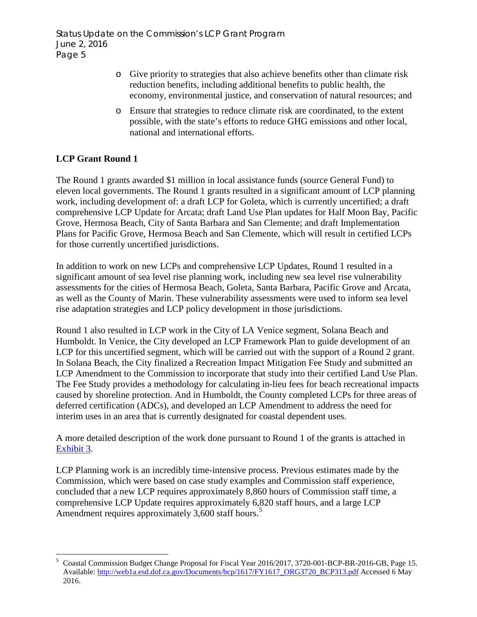- o Give priority to strategies that also achieve benefits other than climate risk reduction benefits, including additional benefits to public health, the economy, environmental justice, and conservation of natural resources; and
- o Ensure that strategies to reduce climate risk are coordinated, to the extent possible, with the state's efforts to reduce GHG emissions and other local, national and international efforts.

# **LCP Grant Round 1**

The Round 1 grants awarded \$1 million in local assistance funds (source General Fund) to eleven local governments. The Round 1 grants resulted in a significant amount of LCP planning work, including development of: a draft LCP for Goleta, which is currently uncertified; a draft comprehensive LCP Update for Arcata; draft Land Use Plan updates for Half Moon Bay, Pacific Grove, Hermosa Beach, City of Santa Barbara and San Clemente; and draft Implementation Plans for Pacific Grove, Hermosa Beach and San Clemente, which will result in certified LCPs for those currently uncertified jurisdictions.

In addition to work on new LCPs and comprehensive LCP Updates, Round 1 resulted in a significant amount of sea level rise planning work, including new sea level rise vulnerability assessments for the cities of Hermosa Beach, Goleta, Santa Barbara, Pacific Grove and Arcata, as well as the County of Marin. These vulnerability assessments were used to inform sea level rise adaptation strategies and LCP policy development in those jurisdictions.

Round 1 also resulted in LCP work in the City of LA Venice segment, Solana Beach and Humboldt. In Venice, the City developed an LCP Framework Plan to guide development of an LCP for this uncertified segment, which will be carried out with the support of a Round 2 grant. In Solana Beach, the City finalized a Recreation Impact Mitigation Fee Study and submitted an LCP Amendment to the Commission to incorporate that study into their certified Land Use Plan. The Fee Study provides a methodology for calculating in-lieu fees for beach recreational impacts caused by shoreline protection. And in Humboldt, the County completed LCPs for three areas of deferred certification (ADCs), and developed an LCP Amendment to address the need for interim uses in an area that is currently designated for coastal dependent uses.

A more detailed description of the work done pursuant to Round 1 of the grants is attached in [Exhibit 3.](#page-11-0)

LCP Planning work is an incredibly time-intensive process. Previous estimates made by the Commission, which were based on case study examples and Commission staff experience, concluded that a new LCP requires approximately 8,860 hours of Commission staff time, a comprehensive LCP Update requires approximately 6,820 staff hours, and a large LCP Amendment requires approximately 3,600 staff hours.<sup>[5](#page-4-0)</sup>

<span id="page-4-0"></span> $\overline{a}$ 5 Coastal Commission Budget Change Proposal for Fiscal Year 2016/2017, 3720-001-BCP-BR-2016-GB, Page 15. Available: [http://web1a.esd.dof.ca.gov/Documents/bcp/1617/FY1617\\_ORG3720\\_BCP313.pdf](http://web1a.esd.dof.ca.gov/Documents/bcp/1617/FY1617_ORG3720_BCP313.pdf) Accessed 6 May 2016.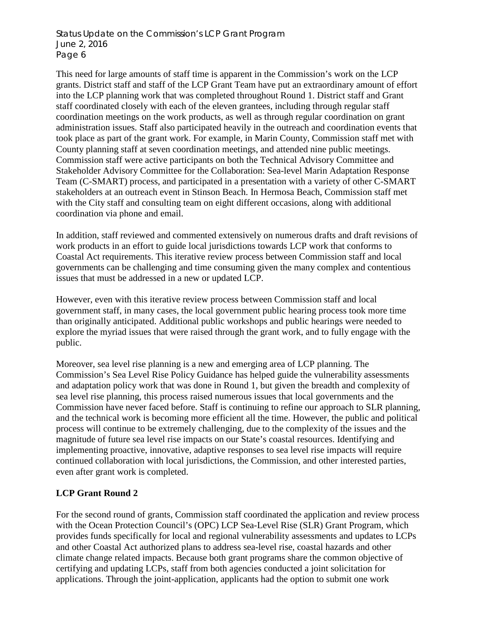This need for large amounts of staff time is apparent in the Commission's work on the LCP grants. District staff and staff of the LCP Grant Team have put an extraordinary amount of effort into the LCP planning work that was completed throughout Round 1. District staff and Grant staff coordinated closely with each of the eleven grantees, including through regular staff coordination meetings on the work products, as well as through regular coordination on grant administration issues. Staff also participated heavily in the outreach and coordination events that took place as part of the grant work. For example, in Marin County, Commission staff met with County planning staff at seven coordination meetings, and attended nine public meetings. Commission staff were active participants on both the Technical Advisory Committee and Stakeholder Advisory Committee for the Collaboration: Sea-level Marin Adaptation Response Team (C-SMART) process, and participated in a presentation with a variety of other C-SMART stakeholders at an outreach event in Stinson Beach. In Hermosa Beach, Commission staff met with the City staff and consulting team on eight different occasions, along with additional coordination via phone and email.

In addition, staff reviewed and commented extensively on numerous drafts and draft revisions of work products in an effort to guide local jurisdictions towards LCP work that conforms to Coastal Act requirements. This iterative review process between Commission staff and local governments can be challenging and time consuming given the many complex and contentious issues that must be addressed in a new or updated LCP.

However, even with this iterative review process between Commission staff and local government staff, in many cases, the local government public hearing process took more time than originally anticipated. Additional public workshops and public hearings were needed to explore the myriad issues that were raised through the grant work, and to fully engage with the public.

Moreover, sea level rise planning is a new and emerging area of LCP planning. The Commission's Sea Level Rise Policy Guidance has helped guide the vulnerability assessments and adaptation policy work that was done in Round 1, but given the breadth and complexity of sea level rise planning, this process raised numerous issues that local governments and the Commission have never faced before. Staff is continuing to refine our approach to SLR planning, and the technical work is becoming more efficient all the time. However, the public and political process will continue to be extremely challenging, due to the complexity of the issues and the magnitude of future sea level rise impacts on our State's coastal resources. Identifying and implementing proactive, innovative, adaptive responses to sea level rise impacts will require continued collaboration with local jurisdictions, the Commission, and other interested parties, even after grant work is completed.

# **LCP Grant Round 2**

For the second round of grants, Commission staff coordinated the application and review process with the Ocean Protection Council's (OPC) LCP Sea-Level Rise (SLR) Grant Program, which provides funds specifically for local and regional vulnerability assessments and updates to LCPs and other Coastal Act authorized plans to address sea-level rise, coastal hazards and other climate change related impacts. Because both grant programs share the common objective of certifying and updating LCPs, staff from both agencies conducted a joint solicitation for applications. Through the joint-application, applicants had the option to submit one work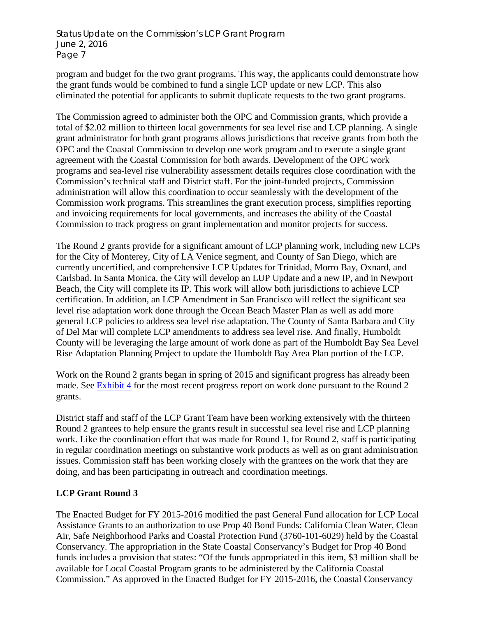program and budget for the two grant programs. This way, the applicants could demonstrate how the grant funds would be combined to fund a single LCP update or new LCP. This also eliminated the potential for applicants to submit duplicate requests to the two grant programs.

The Commission agreed to administer both the OPC and Commission grants, which provide a total of \$2.02 million to thirteen local governments for sea level rise and LCP planning. A single grant administrator for both grant programs allows jurisdictions that receive grants from both the OPC and the Coastal Commission to develop one work program and to execute a single grant agreement with the Coastal Commission for both awards. Development of the OPC work programs and sea-level rise vulnerability assessment details requires close coordination with the Commission's technical staff and District staff. For the joint-funded projects, Commission administration will allow this coordination to occur seamlessly with the development of the Commission work programs. This streamlines the grant execution process, simplifies reporting and invoicing requirements for local governments, and increases the ability of the Coastal Commission to track progress on grant implementation and monitor projects for success.

The Round 2 grants provide for a significant amount of LCP planning work, including new LCPs for the City of Monterey, City of LA Venice segment, and County of San Diego, which are currently uncertified, and comprehensive LCP Updates for Trinidad, Morro Bay, Oxnard, and Carlsbad. In Santa Monica, the City will develop an LUP Update and a new IP, and in Newport Beach, the City will complete its IP. This work will allow both jurisdictions to achieve LCP certification. In addition, an LCP Amendment in San Francisco will reflect the significant sea level rise adaptation work done through the Ocean Beach Master Plan as well as add more general LCP policies to address sea level rise adaptation. The County of Santa Barbara and City of Del Mar will complete LCP amendments to address sea level rise. And finally, Humboldt County will be leveraging the large amount of work done as part of the Humboldt Bay Sea Level Rise Adaptation Planning Project to update the Humboldt Bay Area Plan portion of the LCP.

Work on the Round 2 grants began in spring of 2015 and significant progress has already been made. See [Exhibit 4](#page-20-0) for the most recent progress report on work done pursuant to the Round 2 grants.

District staff and staff of the LCP Grant Team have been working extensively with the thirteen Round 2 grantees to help ensure the grants result in successful sea level rise and LCP planning work. Like the coordination effort that was made for Round 1, for Round 2, staff is participating in regular coordination meetings on substantive work products as well as on grant administration issues. Commission staff has been working closely with the grantees on the work that they are doing, and has been participating in outreach and coordination meetings.

# **LCP Grant Round 3**

The Enacted Budget for FY 2015-2016 modified the past General Fund allocation for LCP Local Assistance Grants to an authorization to use Prop 40 Bond Funds: California Clean Water, Clean Air, Safe Neighborhood Parks and Coastal Protection Fund (3760-101-6029) held by the Coastal Conservancy. The appropriation in the State Coastal Conservancy's Budget for Prop 40 Bond funds includes a provision that states: "Of the funds appropriated in this item, \$3 million shall be available for Local Coastal Program grants to be administered by the California Coastal Commission." As approved in the Enacted Budget for FY 2015-2016, the Coastal Conservancy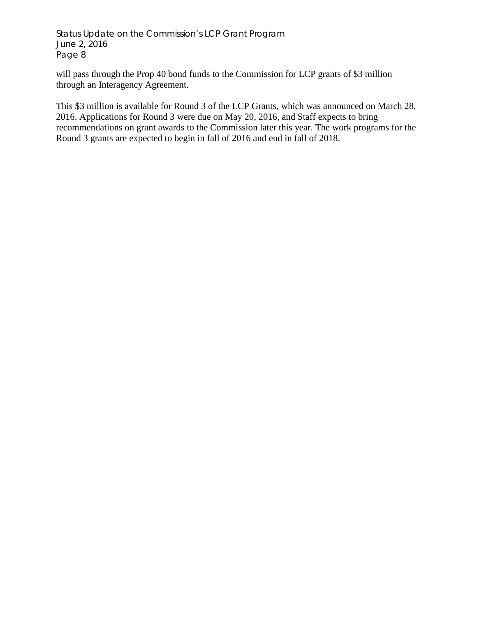will pass through the Prop 40 bond funds to the Commission for LCP grants of \$3 million through an Interagency Agreement.

This \$3 million is available for Round 3 of the LCP Grants, which was announced on March 28, 2016. Applications for Round 3 were due on May 20, 2016, and Staff expects to bring recommendations on grant awards to the Commission later this year. The work programs for the Round 3 grants are expected to begin in fall of 2016 and end in fall of 2018.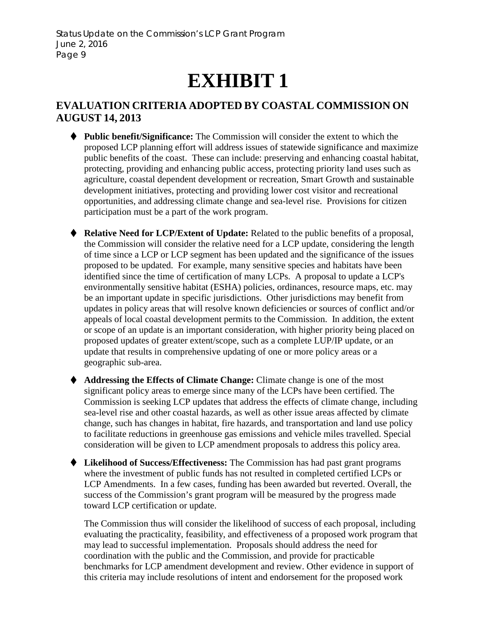# **EXHIBIT 1**

# <span id="page-8-0"></span>**EVALUATION CRITERIA ADOPTED BY COASTAL COMMISSION ON AUGUST 14, 2013**

- **Public benefit/Significance:** The Commission will consider the extent to which the proposed LCP planning effort will address issues of statewide significance and maximize public benefits of the coast. These can include: preserving and enhancing coastal habitat, protecting, providing and enhancing public access, protecting priority land uses such as agriculture, coastal dependent development or recreation, Smart Growth and sustainable development initiatives, protecting and providing lower cost visitor and recreational opportunities, and addressing climate change and sea-level rise. Provisions for citizen participation must be a part of the work program.
- **Relative Need for LCP/Extent of Update:** Related to the public benefits of a proposal, the Commission will consider the relative need for a LCP update, considering the length of time since a LCP or LCP segment has been updated and the significance of the issues proposed to be updated. For example, many sensitive species and habitats have been identified since the time of certification of many LCPs. A proposal to update a LCP's environmentally sensitive habitat (ESHA) policies, ordinances, resource maps, etc. may be an important update in specific jurisdictions. Other jurisdictions may benefit from updates in policy areas that will resolve known deficiencies or sources of conflict and/or appeals of local coastal development permits to the Commission. In addition, the extent or scope of an update is an important consideration, with higher priority being placed on proposed updates of greater extent/scope, such as a complete LUP/IP update, or an update that results in comprehensive updating of one or more policy areas or a geographic sub-area.
- **Addressing the Effects of Climate Change:** Climate change is one of the most significant policy areas to emerge since many of the LCPs have been certified. The Commission is seeking LCP updates that address the effects of climate change, including sea-level rise and other coastal hazards, as well as other issue areas affected by climate change, such has changes in habitat, fire hazards, and transportation and land use policy to facilitate reductions in greenhouse gas emissions and vehicle miles travelled. Special consideration will be given to LCP amendment proposals to address this policy area.
- **Likelihood of Success/Effectiveness:** The Commission has had past grant programs where the investment of public funds has not resulted in completed certified LCPs or LCP Amendments. In a few cases, funding has been awarded but reverted. Overall, the success of the Commission's grant program will be measured by the progress made toward LCP certification or update.

The Commission thus will consider the likelihood of success of each proposal, including evaluating the practicality, feasibility, and effectiveness of a proposed work program that may lead to successful implementation. Proposals should address the need for coordination with the public and the Commission, and provide for practicable benchmarks for LCP amendment development and review. Other evidence in support of this criteria may include resolutions of intent and endorsement for the proposed work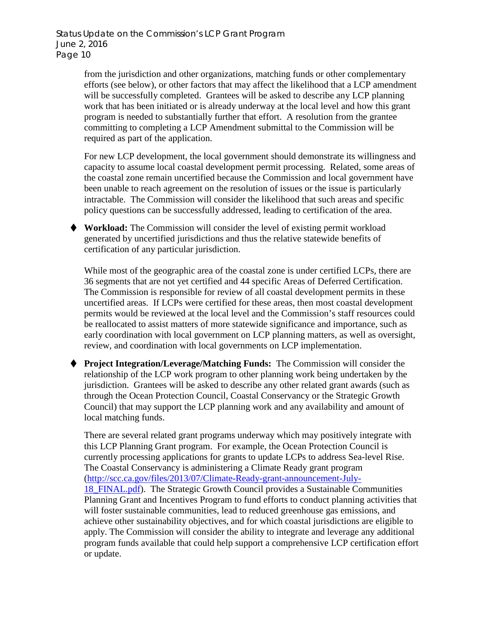> from the jurisdiction and other organizations, matching funds or other complementary efforts (see below), or other factors that may affect the likelihood that a LCP amendment will be successfully completed. Grantees will be asked to describe any LCP planning work that has been initiated or is already underway at the local level and how this grant program is needed to substantially further that effort. A resolution from the grantee committing to completing a LCP Amendment submittal to the Commission will be required as part of the application.

> For new LCP development, the local government should demonstrate its willingness and capacity to assume local coastal development permit processing. Related, some areas of the coastal zone remain uncertified because the Commission and local government have been unable to reach agreement on the resolution of issues or the issue is particularly intractable. The Commission will consider the likelihood that such areas and specific policy questions can be successfully addressed, leading to certification of the area.

 **Workload:** The Commission will consider the level of existing permit workload generated by uncertified jurisdictions and thus the relative statewide benefits of certification of any particular jurisdiction.

While most of the geographic area of the coastal zone is under certified LCPs, there are 36 segments that are not yet certified and 44 specific Areas of Deferred Certification. The Commission is responsible for review of all coastal development permits in these uncertified areas. If LCPs were certified for these areas, then most coastal development permits would be reviewed at the local level and the Commission's staff resources could be reallocated to assist matters of more statewide significance and importance, such as early coordination with local government on LCP planning matters, as well as oversight, review, and coordination with local governments on LCP implementation.

 **Project Integration/Leverage/Matching Funds:** The Commission will consider the relationship of the LCP work program to other planning work being undertaken by the jurisdiction. Grantees will be asked to describe any other related grant awards (such as through the Ocean Protection Council, Coastal Conservancy or the Strategic Growth Council) that may support the LCP planning work and any availability and amount of local matching funds.

There are several related grant programs underway which may positively integrate with this LCP Planning Grant program. For example, the Ocean Protection Council is currently processing applications for grants to update LCPs to address Sea-level Rise. The Coastal Conservancy is administering a Climate Ready grant program [\(http://scc.ca.gov/files/2013/07/Climate-Ready-grant-announcement-July-](http://scc.ca.gov/files/2013/07/Climate-Ready-grant-announcement-July-18_FINAL.pdf)[18\\_FINAL.pdf\)](http://scc.ca.gov/files/2013/07/Climate-Ready-grant-announcement-July-18_FINAL.pdf). The Strategic Growth Council provides a Sustainable Communities Planning Grant and Incentives Program to fund efforts to conduct planning activities that will foster sustainable communities, lead to reduced greenhouse gas emissions, and achieve other sustainability objectives, and for which coastal jurisdictions are eligible to apply. The Commission will consider the ability to integrate and leverage any additional program funds available that could help support a comprehensive LCP certification effort or update.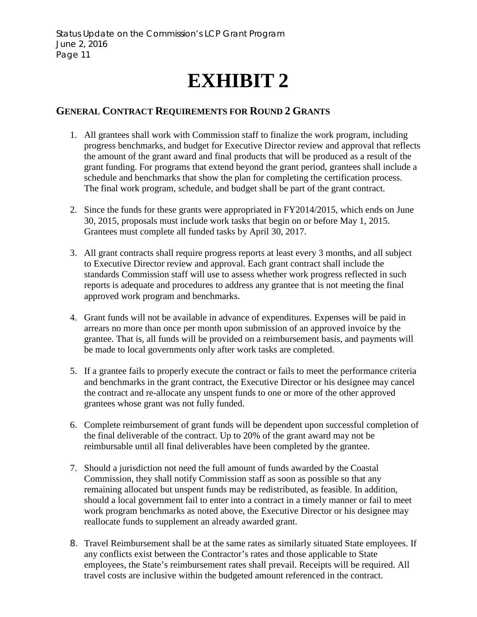# **EXHIBIT 2**

# <span id="page-10-0"></span>**GENERAL CONTRACT REQUIREMENTS FOR ROUND 2 GRANTS**

- 1. All grantees shall work with Commission staff to finalize the work program, including progress benchmarks, and budget for Executive Director review and approval that reflects the amount of the grant award and final products that will be produced as a result of the grant funding. For programs that extend beyond the grant period, grantees shall include a schedule and benchmarks that show the plan for completing the certification process. The final work program, schedule, and budget shall be part of the grant contract.
- 2. Since the funds for these grants were appropriated in FY2014/2015, which ends on June 30, 2015, proposals must include work tasks that begin on or before May 1, 2015. Grantees must complete all funded tasks by April 30, 2017.
- 3. All grant contracts shall require progress reports at least every 3 months, and all subject to Executive Director review and approval. Each grant contract shall include the standards Commission staff will use to assess whether work progress reflected in such reports is adequate and procedures to address any grantee that is not meeting the final approved work program and benchmarks.
- 4. Grant funds will not be available in advance of expenditures. Expenses will be paid in arrears no more than once per month upon submission of an approved invoice by the grantee. That is, all funds will be provided on a reimbursement basis, and payments will be made to local governments only after work tasks are completed.
- 5. If a grantee fails to properly execute the contract or fails to meet the performance criteria and benchmarks in the grant contract, the Executive Director or his designee may cancel the contract and re-allocate any unspent funds to one or more of the other approved grantees whose grant was not fully funded.
- 6. Complete reimbursement of grant funds will be dependent upon successful completion of the final deliverable of the contract. Up to 20% of the grant award may not be reimbursable until all final deliverables have been completed by the grantee.
- 7. Should a jurisdiction not need the full amount of funds awarded by the Coastal Commission, they shall notify Commission staff as soon as possible so that any remaining allocated but unspent funds may be redistributed, as feasible. In addition, should a local government fail to enter into a contract in a timely manner or fail to meet work program benchmarks as noted above, the Executive Director or his designee may reallocate funds to supplement an already awarded grant.
- 8. Travel Reimbursement shall be at the same rates as similarly situated State employees. If any conflicts exist between the Contractor's rates and those applicable to State employees, the State's reimbursement rates shall prevail. Receipts will be required. All travel costs are inclusive within the budgeted amount referenced in the contract.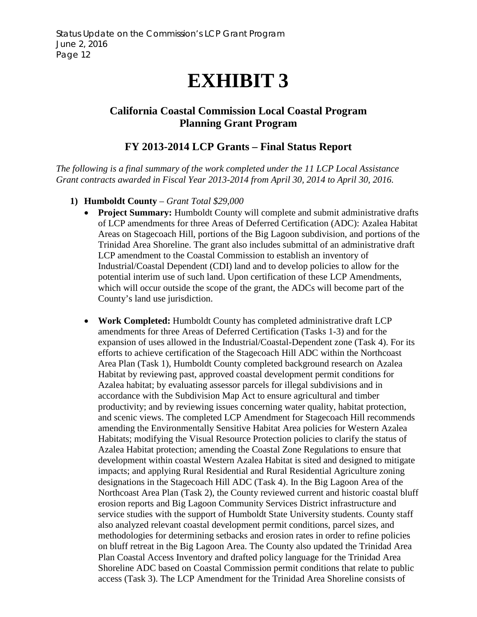# **EXHIBIT 3**

# <span id="page-11-0"></span>**California Coastal Commission Local Coastal Program Planning Grant Program**

# **FY 2013-2014 LCP Grants – Final Status Report**

*The following is a final summary of the work completed under the 11 LCP Local Assistance Grant contracts awarded in Fiscal Year 2013-2014 from April 30, 2014 to April 30, 2016.*

- **1) Humboldt County**  *Grant Total \$29,000*
	- **Project Summary:** Humboldt County will complete and submit administrative drafts of LCP amendments for three Areas of Deferred Certification (ADC): Azalea Habitat Areas on Stagecoach Hill, portions of the Big Lagoon subdivision, and portions of the Trinidad Area Shoreline. The grant also includes submittal of an administrative draft LCP amendment to the Coastal Commission to establish an inventory of Industrial/Coastal Dependent (CDI) land and to develop policies to allow for the potential interim use of such land. Upon certification of these LCP Amendments, which will occur outside the scope of the grant, the ADCs will become part of the County's land use jurisdiction.
	- **Work Completed:** Humboldt County has completed administrative draft LCP amendments for three Areas of Deferred Certification (Tasks 1-3) and for the expansion of uses allowed in the Industrial/Coastal-Dependent zone (Task 4). For its efforts to achieve certification of the Stagecoach Hill ADC within the Northcoast Area Plan (Task 1), Humboldt County completed background research on Azalea Habitat by reviewing past, approved coastal development permit conditions for Azalea habitat; by evaluating assessor parcels for illegal subdivisions and in accordance with the Subdivision Map Act to ensure agricultural and timber productivity; and by reviewing issues concerning water quality, habitat protection, and scenic views. The completed LCP Amendment for Stagecoach Hill recommends amending the Environmentally Sensitive Habitat Area policies for Western Azalea Habitats; modifying the Visual Resource Protection policies to clarify the status of Azalea Habitat protection; amending the Coastal Zone Regulations to ensure that development within coastal Western Azalea Habitat is sited and designed to mitigate impacts; and applying Rural Residential and Rural Residential Agriculture zoning designations in the Stagecoach Hill ADC (Task 4). In the Big Lagoon Area of the Northcoast Area Plan (Task 2), the County reviewed current and historic coastal bluff erosion reports and Big Lagoon Community Services District infrastructure and service studies with the support of Humboldt State University students. County staff also analyzed relevant coastal development permit conditions, parcel sizes, and methodologies for determining setbacks and erosion rates in order to refine policies on bluff retreat in the Big Lagoon Area. The County also updated the Trinidad Area Plan Coastal Access Inventory and drafted policy language for the Trinidad Area Shoreline ADC based on Coastal Commission permit conditions that relate to public access (Task 3). The LCP Amendment for the Trinidad Area Shoreline consists of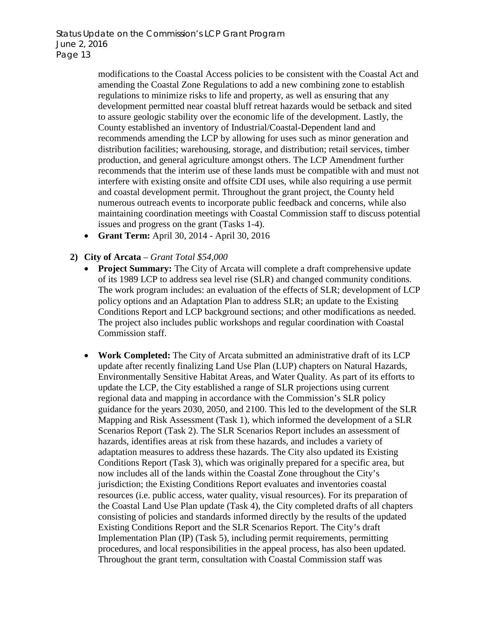> modifications to the Coastal Access policies to be consistent with the Coastal Act and amending the Coastal Zone Regulations to add a new combining zone to establish regulations to minimize risks to life and property, as well as ensuring that any development permitted near coastal bluff retreat hazards would be setback and sited to assure geologic stability over the economic life of the development. Lastly, the County established an inventory of Industrial/Coastal-Dependent land and recommends amending the LCP by allowing for uses such as minor generation and distribution facilities; warehousing, storage, and distribution; retail services, timber production, and general agriculture amongst others. The LCP Amendment further recommends that the interim use of these lands must be compatible with and must not interfere with existing onsite and offsite CDI uses, while also requiring a use permit and coastal development permit. Throughout the grant project, the County held numerous outreach events to incorporate public feedback and concerns, while also maintaining coordination meetings with Coastal Commission staff to discuss potential issues and progress on the grant (Tasks 1-4).

- **Grant Term:** April 30, 2014 April 30, 2016
- **2) City of Arcata** *Grant Total \$54,000*
	- **Project Summary:** The City of Arcata will complete a draft comprehensive update of its 1989 LCP to address sea level rise (SLR) and changed community conditions. The work program includes: an evaluation of the effects of SLR; development of LCP policy options and an Adaptation Plan to address SLR; an update to the Existing Conditions Report and LCP background sections; and other modifications as needed. The project also includes public workshops and regular coordination with Coastal Commission staff.
	- **Work Completed:** The City of Arcata submitted an administrative draft of its LCP update after recently finalizing Land Use Plan (LUP) chapters on Natural Hazards, Environmentally Sensitive Habitat Areas, and Water Quality. As part of its efforts to update the LCP, the City established a range of SLR projections using current regional data and mapping in accordance with the Commission's SLR policy guidance for the years 2030, 2050, and 2100. This led to the development of the SLR Mapping and Risk Assessment (Task 1), which informed the development of a SLR Scenarios Report (Task 2). The SLR Scenarios Report includes an assessment of hazards, identifies areas at risk from these hazards, and includes a variety of adaptation measures to address these hazards. The City also updated its Existing Conditions Report (Task 3), which was originally prepared for a specific area, but now includes all of the lands within the Coastal Zone throughout the City's jurisdiction; the Existing Conditions Report evaluates and inventories coastal resources (i.e. public access, water quality, visual resources). For its preparation of the Coastal Land Use Plan update (Task 4), the City completed drafts of all chapters consisting of policies and standards informed directly by the results of the updated Existing Conditions Report and the SLR Scenarios Report. The City's draft Implementation Plan (IP) (Task 5), including permit requirements, permitting procedures, and local responsibilities in the appeal process, has also been updated. Throughout the grant term, consultation with Coastal Commission staff was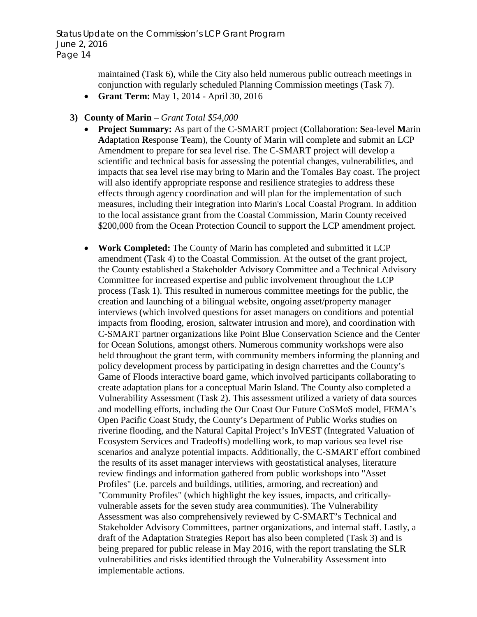> maintained (Task 6), while the City also held numerous public outreach meetings in conjunction with regularly scheduled Planning Commission meetings (Task 7).

- **Grant Term:** May 1, 2014 April 30, 2016
- **3) County of Marin** *Grant Total \$54,000*
	- **Project Summary:** As part of the C-SMART project (**C**ollaboration: **S**ea-level **M**arin **A**daptation **R**esponse **T**eam), the County of Marin will complete and submit an LCP Amendment to prepare for sea level rise. The C-SMART project will develop a scientific and technical basis for assessing the potential changes, vulnerabilities, and impacts that sea level rise may bring to Marin and the Tomales Bay coast. The project will also identify appropriate response and resilience strategies to address these effects through agency coordination and will plan for the implementation of such measures, including their integration into Marin's Local Coastal Program. In addition to the local assistance grant from the Coastal Commission, Marin County received \$200,000 from the Ocean Protection Council to support the LCP amendment project.
	- **Work Completed:** The County of Marin has completed and submitted it LCP amendment (Task 4) to the Coastal Commission. At the outset of the grant project, the County established a Stakeholder Advisory Committee and a Technical Advisory Committee for increased expertise and public involvement throughout the LCP process (Task 1). This resulted in numerous committee meetings for the public, the creation and launching of a bilingual website, ongoing asset/property manager interviews (which involved questions for asset managers on conditions and potential impacts from flooding, erosion, saltwater intrusion and more), and coordination with C-SMART partner organizations like Point Blue Conservation Science and the Center for Ocean Solutions, amongst others. Numerous community workshops were also held throughout the grant term, with community members informing the planning and policy development process by participating in design charrettes and the County's Game of Floods interactive board game, which involved participants collaborating to create adaptation plans for a conceptual Marin Island. The County also completed a Vulnerability Assessment (Task 2). This assessment utilized a variety of data sources and modelling efforts, including the Our Coast Our Future CoSMoS model, FEMA's Open Pacific Coast Study, the County's Department of Public Works studies on riverine flooding, and the Natural Capital Project's InVEST (Integrated Valuation of Ecosystem Services and Tradeoffs) modelling work, to map various sea level rise scenarios and analyze potential impacts. Additionally, the C-SMART effort combined the results of its asset manager interviews with geostatistical analyses, literature review findings and information gathered from public workshops into "Asset Profiles" (i.e. parcels and buildings, utilities, armoring, and recreation) and "Community Profiles" (which highlight the key issues, impacts, and criticallyvulnerable assets for the seven study area communities). The Vulnerability Assessment was also comprehensively reviewed by C-SMART's Technical and Stakeholder Advisory Committees, partner organizations, and internal staff. Lastly, a draft of the Adaptation Strategies Report has also been completed (Task 3) and is being prepared for public release in May 2016, with the report translating the SLR vulnerabilities and risks identified through the Vulnerability Assessment into implementable actions.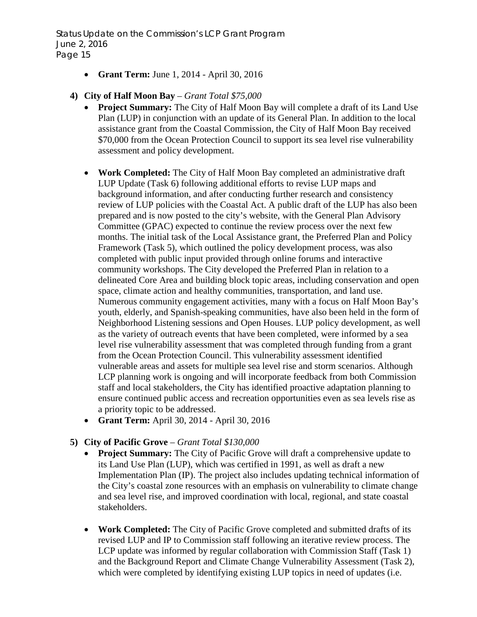- **Grant Term:** June 1, 2014 April 30, 2016
- **4) City of Half Moon Bay** *Grant Total \$75,000*
	- **Project Summary:** The City of Half Moon Bay will complete a draft of its Land Use Plan (LUP) in conjunction with an update of its General Plan. In addition to the local assistance grant from the Coastal Commission, the City of Half Moon Bay received \$70,000 from the Ocean Protection Council to support its sea level rise vulnerability assessment and policy development.
	- **Work Completed:** The City of Half Moon Bay completed an administrative draft LUP Update (Task 6) following additional efforts to revise LUP maps and background information, and after conducting further research and consistency review of LUP policies with the Coastal Act. A public draft of the LUP has also been prepared and is now posted to the city's website, with the General Plan Advisory Committee (GPAC) expected to continue the review process over the next few months. The initial task of the Local Assistance grant, the Preferred Plan and Policy Framework (Task 5), which outlined the policy development process, was also completed with public input provided through online forums and interactive community workshops. The City developed the Preferred Plan in relation to a delineated Core Area and building block topic areas, including conservation and open space, climate action and healthy communities, transportation, and land use. Numerous community engagement activities, many with a focus on Half Moon Bay's youth, elderly, and Spanish-speaking communities, have also been held in the form of Neighborhood Listening sessions and Open Houses. LUP policy development, as well as the variety of outreach events that have been completed, were informed by a sea level rise vulnerability assessment that was completed through funding from a grant from the Ocean Protection Council. This vulnerability assessment identified vulnerable areas and assets for multiple sea level rise and storm scenarios. Although LCP planning work is ongoing and will incorporate feedback from both Commission staff and local stakeholders, the City has identified proactive adaptation planning to ensure continued public access and recreation opportunities even as sea levels rise as a priority topic to be addressed.
	- **Grant Term:** April 30, 2014 April 30, 2016
- **5) City of Pacific Grove** *Grant Total \$130,000*
	- **Project Summary:** The City of Pacific Grove will draft a comprehensive update to its Land Use Plan (LUP), which was certified in 1991, as well as draft a new Implementation Plan (IP). The project also includes updating technical information of the City's coastal zone resources with an emphasis on vulnerability to climate change and sea level rise, and improved coordination with local, regional, and state coastal stakeholders.
	- **Work Completed:** The City of Pacific Grove completed and submitted drafts of its revised LUP and IP to Commission staff following an iterative review process. The LCP update was informed by regular collaboration with Commission Staff (Task 1) and the Background Report and Climate Change Vulnerability Assessment (Task 2), which were completed by identifying existing LUP topics in need of updates (i.e.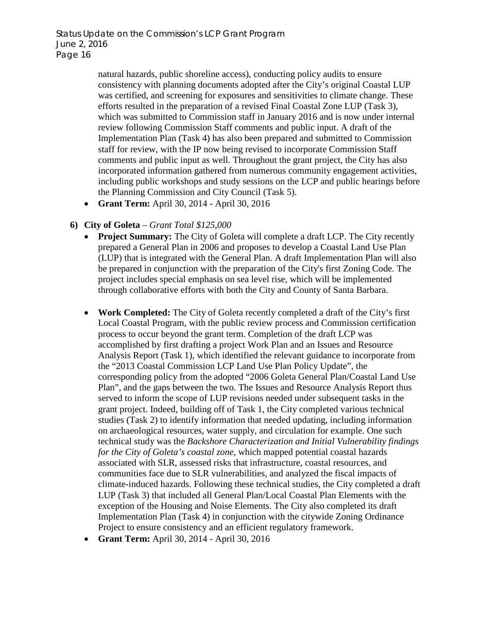natural hazards, public shoreline access), conducting policy audits to ensure consistency with planning documents adopted after the City's original Coastal LUP was certified, and screening for exposures and sensitivities to climate change. These efforts resulted in the preparation of a revised Final Coastal Zone LUP (Task 3), which was submitted to Commission staff in January 2016 and is now under internal review following Commission Staff comments and public input. A draft of the Implementation Plan (Task 4) has also been prepared and submitted to Commission staff for review, with the IP now being revised to incorporate Commission Staff comments and public input as well. Throughout the grant project, the City has also incorporated information gathered from numerous community engagement activities, including public workshops and study sessions on the LCP and public hearings before the Planning Commission and City Council (Task 5).

• **Grant Term:** April 30, 2014 - April 30, 2016

# **6) City of Goleta** – *Grant Total \$125,000*

- **Project Summary:** The City of Goleta will complete a draft LCP. The City recently prepared a General Plan in 2006 and proposes to develop a Coastal Land Use Plan (LUP) that is integrated with the General Plan. A draft Implementation Plan will also be prepared in conjunction with the preparation of the City's first Zoning Code. The project includes special emphasis on sea level rise, which will be implemented through collaborative efforts with both the City and County of Santa Barbara.
- **Work Completed:** The City of Goleta recently completed a draft of the City's first Local Coastal Program, with the public review process and Commission certification process to occur beyond the grant term. Completion of the draft LCP was accomplished by first drafting a project Work Plan and an Issues and Resource Analysis Report (Task 1), which identified the relevant guidance to incorporate from the "2013 Coastal Commission LCP Land Use Plan Policy Update", the corresponding policy from the adopted "2006 Goleta General Plan/Coastal Land Use Plan", and the gaps between the two. The Issues and Resource Analysis Report thus served to inform the scope of LUP revisions needed under subsequent tasks in the grant project. Indeed, building off of Task 1, the City completed various technical studies (Task 2) to identify information that needed updating, including information on archaeological resources, water supply, and circulation for example. One such technical study was the *Backshore Characterization and Initial Vulnerability findings for the City of Goleta's coastal zone,* which mapped potential coastal hazards associated with SLR, assessed risks that infrastructure, coastal resources, and communities face due to SLR vulnerabilities, and analyzed the fiscal impacts of climate-induced hazards. Following these technical studies, the City completed a draft LUP (Task 3) that included all General Plan/Local Coastal Plan Elements with the exception of the Housing and Noise Elements. The City also completed its draft Implementation Plan (Task 4) in conjunction with the citywide Zoning Ordinance Project to ensure consistency and an efficient regulatory framework.
- **Grant Term:** April 30, 2014 April 30, 2016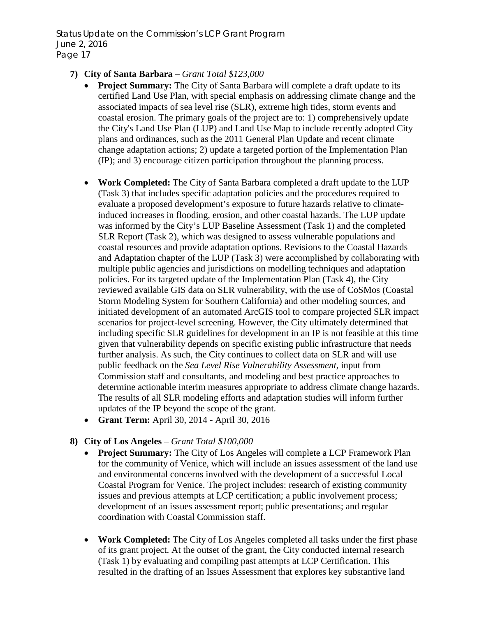- **7) City of Santa Barbara** *Grant Total \$123,000*
	- **Project Summary:** The City of Santa Barbara will complete a draft update to its certified Land Use Plan, with special emphasis on addressing climate change and the associated impacts of sea level rise (SLR), extreme high tides, storm events and coastal erosion. The primary goals of the project are to: 1) comprehensively update the City's Land Use Plan (LUP) and Land Use Map to include recently adopted City plans and ordinances, such as the 2011 General Plan Update and recent climate change adaptation actions; 2) update a targeted portion of the Implementation Plan (IP); and 3) encourage citizen participation throughout the planning process.
	- **Work Completed:** The City of Santa Barbara completed a draft update to the LUP (Task 3) that includes specific adaptation policies and the procedures required to evaluate a proposed development's exposure to future hazards relative to climateinduced increases in flooding, erosion, and other coastal hazards. The LUP update was informed by the City's LUP Baseline Assessment (Task 1) and the completed SLR Report (Task 2), which was designed to assess vulnerable populations and coastal resources and provide adaptation options. Revisions to the Coastal Hazards and Adaptation chapter of the LUP (Task 3) were accomplished by collaborating with multiple public agencies and jurisdictions on modelling techniques and adaptation policies. For its targeted update of the Implementation Plan (Task 4), the City reviewed available GIS data on SLR vulnerability, with the use of CoSMos (Coastal Storm Modeling System for Southern California) and other modeling sources, and initiated development of an automated ArcGIS tool to compare projected SLR impact scenarios for project-level screening. However, the City ultimately determined that including specific SLR guidelines for development in an IP is not feasible at this time given that vulnerability depends on specific existing public infrastructure that needs further analysis. As such, the City continues to collect data on SLR and will use public feedback on the *Sea Level Rise Vulnerability Assessment*, input from Commission staff and consultants, and modeling and best practice approaches to determine actionable interim measures appropriate to address climate change hazards. The results of all SLR modeling efforts and adaptation studies will inform further updates of the IP beyond the scope of the grant.
	- **Grant Term:** April 30, 2014 April 30, 2016

# **8) City of Los Angeles** – *Grant Total \$100,000*

- **Project Summary:** The City of Los Angeles will complete a LCP Framework Plan for the community of Venice, which will include an issues assessment of the land use and environmental concerns involved with the development of a successful Local Coastal Program for Venice. The project includes: research of existing community issues and previous attempts at LCP certification; a public involvement process; development of an issues assessment report; public presentations; and regular coordination with Coastal Commission staff.
- **Work Completed:** The City of Los Angeles completed all tasks under the first phase of its grant project. At the outset of the grant, the City conducted internal research (Task 1) by evaluating and compiling past attempts at LCP Certification. This resulted in the drafting of an Issues Assessment that explores key substantive land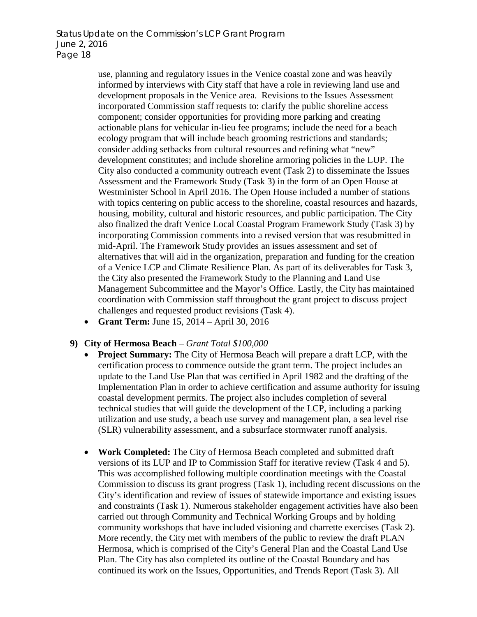use, planning and regulatory issues in the Venice coastal zone and was heavily informed by interviews with City staff that have a role in reviewing land use and development proposals in the Venice area. Revisions to the Issues Assessment incorporated Commission staff requests to: clarify the public shoreline access component; consider opportunities for providing more parking and creating actionable plans for vehicular in-lieu fee programs; include the need for a beach ecology program that will include beach grooming restrictions and standards; consider adding setbacks from cultural resources and refining what "new" development constitutes; and include shoreline armoring policies in the LUP. The City also conducted a community outreach event (Task 2) to disseminate the Issues Assessment and the Framework Study (Task 3) in the form of an Open House at Westminister School in April 2016. The Open House included a number of stations with topics centering on public access to the shoreline, coastal resources and hazards, housing, mobility, cultural and historic resources, and public participation. The City also finalized the draft Venice Local Coastal Program Framework Study (Task 3) by incorporating Commission comments into a revised version that was resubmitted in mid-April. The Framework Study provides an issues assessment and set of alternatives that will aid in the organization, preparation and funding for the creation of a Venice LCP and Climate Resilience Plan. As part of its deliverables for Task 3, the City also presented the Framework Study to the Planning and Land Use Management Subcommittee and the Mayor's Office. Lastly, the City has maintained coordination with Commission staff throughout the grant project to discuss project challenges and requested product revisions (Task 4).

• **Grant Term:** June 15, 2014 – April 30, 2016

#### **9) City of Hermosa Beach** – *Grant Total \$100,000*

- **Project Summary:** The City of Hermosa Beach will prepare a draft LCP, with the certification process to commence outside the grant term. The project includes an update to the Land Use Plan that was certified in April 1982 and the drafting of the Implementation Plan in order to achieve certification and assume authority for issuing coastal development permits. The project also includes completion of several technical studies that will guide the development of the LCP, including a parking utilization and use study, a beach use survey and management plan, a sea level rise (SLR) vulnerability assessment, and a subsurface stormwater runoff analysis.
- **Work Completed:** The City of Hermosa Beach completed and submitted draft versions of its LUP and IP to Commission Staff for iterative review (Task 4 and 5). This was accomplished following multiple coordination meetings with the Coastal Commission to discuss its grant progress (Task 1), including recent discussions on the City's identification and review of issues of statewide importance and existing issues and constraints (Task 1). Numerous stakeholder engagement activities have also been carried out through Community and Technical Working Groups and by holding community workshops that have included visioning and charrette exercises (Task 2). More recently, the City met with members of the public to review the draft PLAN Hermosa, which is comprised of the City's General Plan and the Coastal Land Use Plan. The City has also completed its outline of the Coastal Boundary and has continued its work on the Issues, Opportunities, and Trends Report (Task 3). All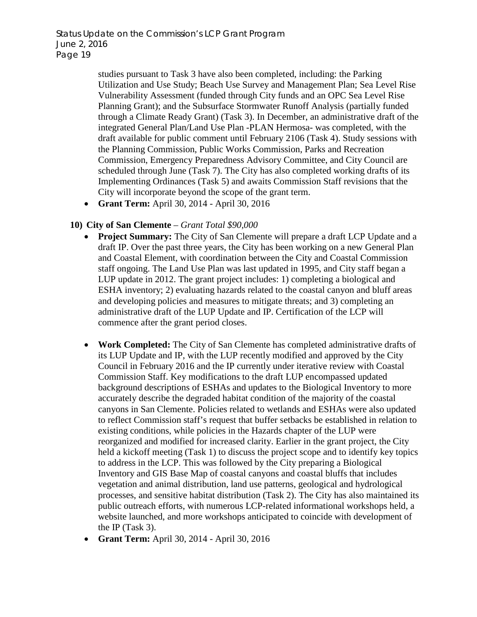> studies pursuant to Task 3 have also been completed, including: the Parking Utilization and Use Study; Beach Use Survey and Management Plan; Sea Level Rise Vulnerability Assessment (funded through City funds and an OPC Sea Level Rise Planning Grant); and the Subsurface Stormwater Runoff Analysis (partially funded through a Climate Ready Grant) (Task 3). In December, an administrative draft of the integrated General Plan/Land Use Plan -PLAN Hermosa- was completed, with the draft available for public comment until February 2106 (Task 4). Study sessions with the Planning Commission, Public Works Commission, Parks and Recreation Commission, Emergency Preparedness Advisory Committee, and City Council are scheduled through June (Task 7). The City has also completed working drafts of its Implementing Ordinances (Task 5) and awaits Commission Staff revisions that the City will incorporate beyond the scope of the grant term.

• **Grant Term:** April 30, 2014 - April 30, 2016

#### **10) City of San Clemente** – *Grant Total \$90,000*

- **Project Summary:** The City of San Clemente will prepare a draft LCP Update and a draft IP. Over the past three years, the City has been working on a new General Plan and Coastal Element, with coordination between the City and Coastal Commission staff ongoing. The Land Use Plan was last updated in 1995, and City staff began a LUP update in 2012. The grant project includes: 1) completing a biological and ESHA inventory; 2) evaluating hazards related to the coastal canyon and bluff areas and developing policies and measures to mitigate threats; and 3) completing an administrative draft of the LUP Update and IP. Certification of the LCP will commence after the grant period closes.
- **Work Completed:** The City of San Clemente has completed administrative drafts of its LUP Update and IP, with the LUP recently modified and approved by the City Council in February 2016 and the IP currently under iterative review with Coastal Commission Staff. Key modifications to the draft LUP encompassed updated background descriptions of ESHAs and updates to the Biological Inventory to more accurately describe the degraded habitat condition of the majority of the coastal canyons in San Clemente. Policies related to wetlands and ESHAs were also updated to reflect Commission staff's request that buffer setbacks be established in relation to existing conditions, while policies in the Hazards chapter of the LUP were reorganized and modified for increased clarity. Earlier in the grant project, the City held a kickoff meeting (Task 1) to discuss the project scope and to identify key topics to address in the LCP. This was followed by the City preparing a Biological Inventory and GIS Base Map of coastal canyons and coastal bluffs that includes vegetation and animal distribution, land use patterns, geological and hydrological processes, and sensitive habitat distribution (Task 2). The City has also maintained its public outreach efforts, with numerous LCP-related informational workshops held, a website launched, and more workshops anticipated to coincide with development of the IP (Task 3).
- **Grant Term:** April 30, 2014 April 30, 2016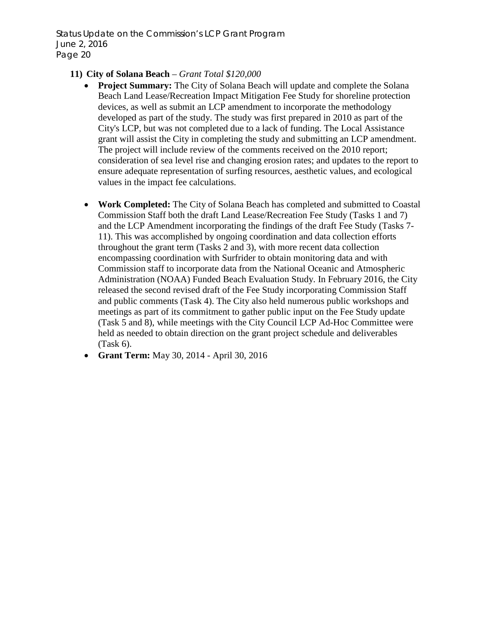### **11) City of Solana Beach** – *Grant Total \$120,000*

- **Project Summary:** The City of Solana Beach will update and complete the Solana Beach Land Lease/Recreation Impact Mitigation Fee Study for shoreline protection devices, as well as submit an LCP amendment to incorporate the methodology developed as part of the study. The study was first prepared in 2010 as part of the City's LCP, but was not completed due to a lack of funding. The Local Assistance grant will assist the City in completing the study and submitting an LCP amendment. The project will include review of the comments received on the 2010 report; consideration of sea level rise and changing erosion rates; and updates to the report to ensure adequate representation of surfing resources, aesthetic values, and ecological values in the impact fee calculations.
- **Work Completed:** The City of Solana Beach has completed and submitted to Coastal Commission Staff both the draft Land Lease/Recreation Fee Study (Tasks 1 and 7) and the LCP Amendment incorporating the findings of the draft Fee Study (Tasks 7- 11). This was accomplished by ongoing coordination and data collection efforts throughout the grant term (Tasks 2 and 3), with more recent data collection encompassing coordination with Surfrider to obtain monitoring data and with Commission staff to incorporate data from the National Oceanic and Atmospheric Administration (NOAA) Funded Beach Evaluation Study. In February 2016, the City released the second revised draft of the Fee Study incorporating Commission Staff and public comments (Task 4). The City also held numerous public workshops and meetings as part of its commitment to gather public input on the Fee Study update (Task 5 and 8), while meetings with the City Council LCP Ad-Hoc Committee were held as needed to obtain direction on the grant project schedule and deliverables (Task 6).
- **Grant Term:** May 30, 2014 April 30, 2016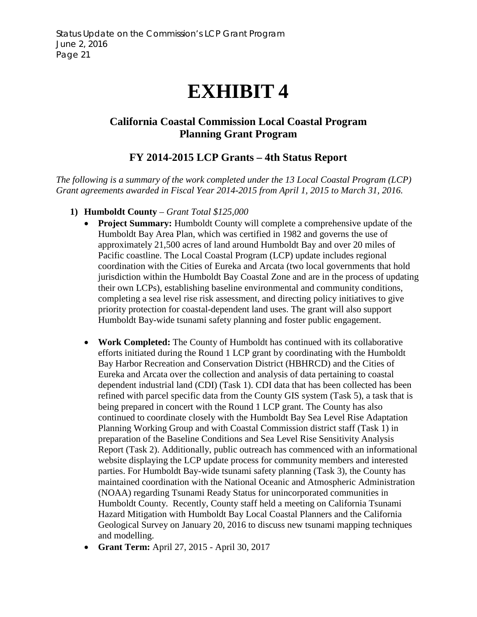# **EXHIBIT 4**

# <span id="page-20-0"></span>**California Coastal Commission Local Coastal Program Planning Grant Program**

# **FY 2014-2015 LCP Grants – 4th Status Report**

*The following is a summary of the work completed under the 13 Local Coastal Program (LCP) Grant agreements awarded in Fiscal Year 2014-2015 from April 1, 2015 to March 31, 2016.*

- **1) Humboldt County**  *Grant Total \$125,000*
	- **Project Summary:** Humboldt County will complete a comprehensive update of the Humboldt Bay Area Plan, which was certified in 1982 and governs the use of approximately 21,500 acres of land around Humboldt Bay and over 20 miles of Pacific coastline. The Local Coastal Program (LCP) update includes regional coordination with the Cities of Eureka and Arcata (two local governments that hold jurisdiction within the Humboldt Bay Coastal Zone and are in the process of updating their own LCPs), establishing baseline environmental and community conditions, completing a sea level rise risk assessment, and directing policy initiatives to give priority protection for coastal-dependent land uses. The grant will also support Humboldt Bay-wide tsunami safety planning and foster public engagement.
	- **Work Completed:** The County of Humboldt has continued with its collaborative efforts initiated during the Round 1 LCP grant by coordinating with the Humboldt Bay Harbor Recreation and Conservation District (HBHRCD) and the Cities of Eureka and Arcata over the collection and analysis of data pertaining to coastal dependent industrial land (CDI) (Task 1). CDI data that has been collected has been refined with parcel specific data from the County GIS system (Task 5), a task that is being prepared in concert with the Round 1 LCP grant. The County has also continued to coordinate closely with the Humboldt Bay Sea Level Rise Adaptation Planning Working Group and with Coastal Commission district staff (Task 1) in preparation of the Baseline Conditions and Sea Level Rise Sensitivity Analysis Report (Task 2). Additionally, public outreach has commenced with an informational website displaying the LCP update process for community members and interested parties. For Humboldt Bay-wide tsunami safety planning (Task 3), the County has maintained coordination with the National Oceanic and Atmospheric Administration (NOAA) regarding Tsunami Ready Status for unincorporated communities in Humboldt County. Recently, County staff held a meeting on California Tsunami Hazard Mitigation with Humboldt Bay Local Coastal Planners and the California Geological Survey on January 20, 2016 to discuss new tsunami mapping techniques and modelling.
	- **Grant Term:** April 27, 2015 April 30, 2017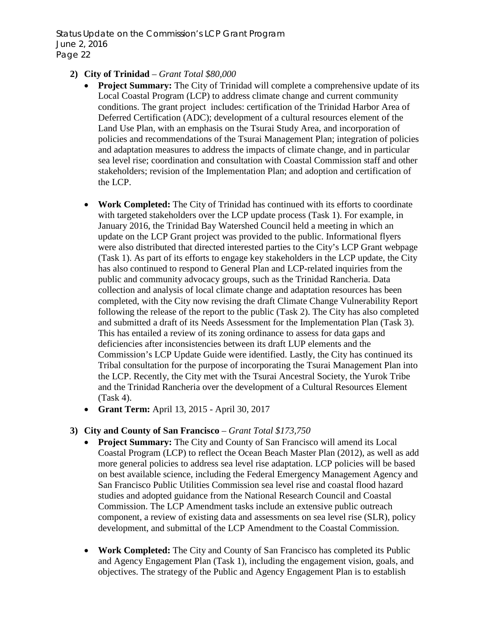### **2) City of Trinidad** – *Grant Total \$80,000*

- **Project Summary:** The City of Trinidad will complete a comprehensive update of its Local Coastal Program (LCP) to address climate change and current community conditions. The grant project includes: certification of the Trinidad Harbor Area of Deferred Certification (ADC); development of a cultural resources element of the Land Use Plan, with an emphasis on the Tsurai Study Area, and incorporation of policies and recommendations of the Tsurai Management Plan; integration of policies and adaptation measures to address the impacts of climate change, and in particular sea level rise; coordination and consultation with Coastal Commission staff and other stakeholders; revision of the Implementation Plan; and adoption and certification of the LCP.
- **Work Completed:** The City of Trinidad has continued with its efforts to coordinate with targeted stakeholders over the LCP update process (Task 1). For example, in January 2016, the Trinidad Bay Watershed Council held a meeting in which an update on the LCP Grant project was provided to the public. Informational flyers were also distributed that directed interested parties to the City's LCP Grant webpage (Task 1). As part of its efforts to engage key stakeholders in the LCP update, the City has also continued to respond to General Plan and LCP-related inquiries from the public and community advocacy groups, such as the Trinidad Rancheria. Data collection and analysis of local climate change and adaptation resources has been completed, with the City now revising the draft Climate Change Vulnerability Report following the release of the report to the public (Task 2). The City has also completed and submitted a draft of its Needs Assessment for the Implementation Plan (Task 3). This has entailed a review of its zoning ordinance to assess for data gaps and deficiencies after inconsistencies between its draft LUP elements and the Commission's LCP Update Guide were identified. Lastly, the City has continued its Tribal consultation for the purpose of incorporating the Tsurai Management Plan into the LCP. Recently, the City met with the Tsurai Ancestral Society, the Yurok Tribe and the Trinidad Rancheria over the development of a Cultural Resources Element (Task 4).
- **Grant Term:** April 13, 2015 April 30, 2017

#### **3) City and County of San Francisco** – *Grant Total \$173,750*

- **Project Summary:** The City and County of San Francisco will amend its Local Coastal Program (LCP) to reflect the Ocean Beach Master Plan (2012), as well as add more general policies to address sea level rise adaptation. LCP policies will be based on best available science, including the Federal Emergency Management Agency and San Francisco Public Utilities Commission sea level rise and coastal flood hazard studies and adopted guidance from the National Research Council and Coastal Commission. The LCP Amendment tasks include an extensive public outreach component, a review of existing data and assessments on sea level rise (SLR), policy development, and submittal of the LCP Amendment to the Coastal Commission.
- **Work Completed:** The City and County of San Francisco has completed its Public and Agency Engagement Plan (Task 1), including the engagement vision, goals, and objectives. The strategy of the Public and Agency Engagement Plan is to establish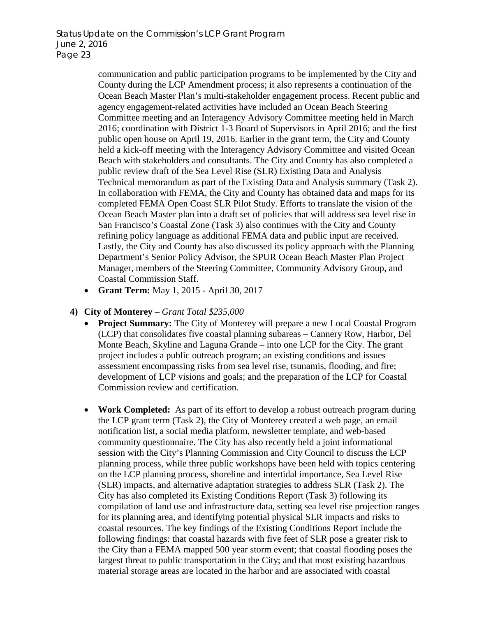communication and public participation programs to be implemented by the City and County during the LCP Amendment process; it also represents a continuation of the Ocean Beach Master Plan's multi-stakeholder engagement process. Recent public and agency engagement-related activities have included an Ocean Beach Steering Committee meeting and an Interagency Advisory Committee meeting held in March 2016; coordination with District 1-3 Board of Supervisors in April 2016; and the first public open house on April 19, 2016. Earlier in the grant term, the City and County held a kick-off meeting with the Interagency Advisory Committee and visited Ocean Beach with stakeholders and consultants. The City and County has also completed a public review draft of the Sea Level Rise (SLR) Existing Data and Analysis Technical memorandum as part of the Existing Data and Analysis summary (Task 2). In collaboration with FEMA, the City and County has obtained data and maps for its completed FEMA Open Coast SLR Pilot Study. Efforts to translate the vision of the Ocean Beach Master plan into a draft set of policies that will address sea level rise in San Francisco's Coastal Zone (Task 3) also continues with the City and County refining policy language as additional FEMA data and public input are received. Lastly, the City and County has also discussed its policy approach with the Planning Department's Senior Policy Advisor, the SPUR Ocean Beach Master Plan Project Manager, members of the Steering Committee, Community Advisory Group, and Coastal Commission Staff.

• **Grant Term:** May 1, 2015 - April 30, 2017

# **4) City of Monterey** – *Grant Total \$235,000*

- **Project Summary:** The City of Monterey will prepare a new Local Coastal Program (LCP) that consolidates five coastal planning subareas – Cannery Row, Harbor, Del Monte Beach, Skyline and Laguna Grande – into one LCP for the City. The grant project includes a public outreach program; an existing conditions and issues assessment encompassing risks from sea level rise, tsunamis, flooding, and fire; development of LCP visions and goals; and the preparation of the LCP for Coastal Commission review and certification.
- **Work Completed:** As part of its effort to develop a robust outreach program during the LCP grant term (Task 2), the City of Monterey created a web page, an email notification list, a social media platform, newsletter template, and web-based community questionnaire. The City has also recently held a joint informational session with the City's Planning Commission and City Council to discuss the LCP planning process, while three public workshops have been held with topics centering on the LCP planning process, shoreline and intertidal importance, Sea Level Rise (SLR) impacts, and alternative adaptation strategies to address SLR (Task 2). The City has also completed its Existing Conditions Report (Task 3) following its compilation of land use and infrastructure data, setting sea level rise projection ranges for its planning area, and identifying potential physical SLR impacts and risks to coastal resources. The key findings of the Existing Conditions Report include the following findings: that coastal hazards with five feet of SLR pose a greater risk to the City than a FEMA mapped 500 year storm event; that coastal flooding poses the largest threat to public transportation in the City; and that most existing hazardous material storage areas are located in the harbor and are associated with coastal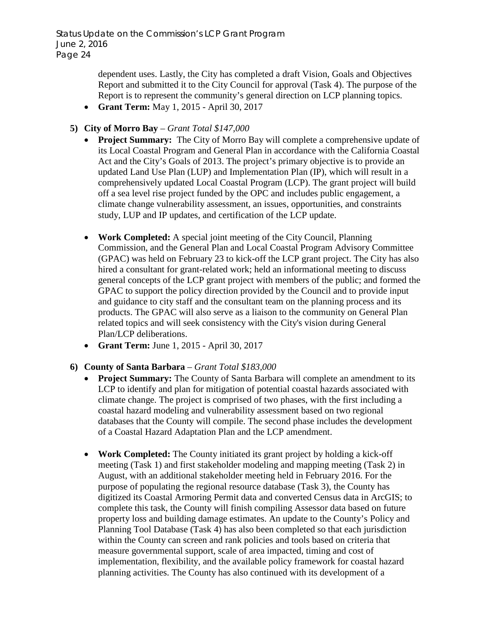> dependent uses. Lastly, the City has completed a draft Vision, Goals and Objectives Report and submitted it to the City Council for approval (Task 4). The purpose of the Report is to represent the community's general direction on LCP planning topics.

- **Grant Term:** May 1, 2015 April 30, 2017
- **5) City of Morro Bay** *Grant Total \$147,000*
	- **Project Summary:** The City of Morro Bay will complete a comprehensive update of its Local Coastal Program and General Plan in accordance with the California Coastal Act and the City's Goals of 2013. The project's primary objective is to provide an updated Land Use Plan (LUP) and Implementation Plan (IP), which will result in a comprehensively updated Local Coastal Program (LCP). The grant project will build off a sea level rise project funded by the OPC and includes public engagement, a climate change vulnerability assessment, an issues, opportunities, and constraints study, LUP and IP updates, and certification of the LCP update.
	- **Work Completed:** A special joint meeting of the City Council, Planning Commission, and the General Plan and Local Coastal Program Advisory Committee (GPAC) was held on February 23 to kick-off the LCP grant project. The City has also hired a consultant for grant-related work; held an informational meeting to discuss general concepts of the LCP grant project with members of the public; and formed the GPAC to support the policy direction provided by the Council and to provide input and guidance to city staff and the consultant team on the planning process and its products. The GPAC will also serve as a liaison to the community on General Plan related topics and will seek consistency with the City's vision during General Plan/LCP deliberations.
	- **Grant Term:** June 1, 2015 April 30, 2017
- **6) County of Santa Barbara** *Grant Total \$183,000*
	- **Project Summary:** The County of Santa Barbara will complete an amendment to its LCP to identify and plan for mitigation of potential coastal hazards associated with climate change. The project is comprised of two phases, with the first including a coastal hazard modeling and vulnerability assessment based on two regional databases that the County will compile. The second phase includes the development of a Coastal Hazard Adaptation Plan and the LCP amendment.
	- **Work Completed:** The County initiated its grant project by holding a kick-off meeting (Task 1) and first stakeholder modeling and mapping meeting (Task 2) in August, with an additional stakeholder meeting held in February 2016. For the purpose of populating the regional resource database (Task 3), the County has digitized its Coastal Armoring Permit data and converted Census data in ArcGIS; to complete this task, the County will finish compiling Assessor data based on future property loss and building damage estimates. An update to the County's Policy and Planning Tool Database (Task 4) has also been completed so that each jurisdiction within the County can screen and rank policies and tools based on criteria that measure governmental support, scale of area impacted, timing and cost of implementation, flexibility, and the available policy framework for coastal hazard planning activities. The County has also continued with its development of a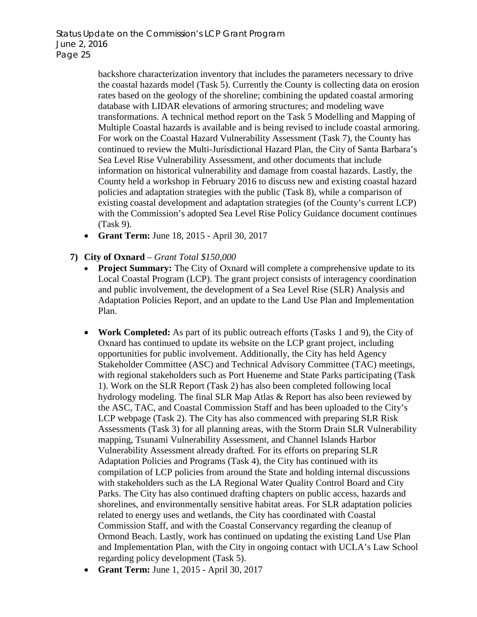backshore characterization inventory that includes the parameters necessary to drive the coastal hazards model (Task 5). Currently the County is collecting data on erosion rates based on the geology of the shoreline; combining the updated coastal armoring database with LIDAR elevations of armoring structures; and modeling wave transformations. A technical method report on the Task 5 Modelling and Mapping of Multiple Coastal hazards is available and is being revised to include coastal armoring. For work on the Coastal Hazard Vulnerability Assessment (Task 7), the County has continued to review the Multi-Jurisdictional Hazard Plan, the City of Santa Barbara's Sea Level Rise Vulnerability Assessment, and other documents that include information on historical vulnerability and damage from coastal hazards. Lastly, the County held a workshop in February 2016 to discuss new and existing coastal hazard policies and adaptation strategies with the public (Task 8), while a comparison of existing coastal development and adaptation strategies (of the County's current LCP) with the Commission's adopted Sea Level Rise Policy Guidance document continues (Task 9).

• **Grant Term:** June 18, 2015 - April 30, 2017

# **7) City of Oxnard** – *Grant Total \$150,000*

- **Project Summary:** The City of Oxnard will complete a comprehensive update to its Local Coastal Program (LCP). The grant project consists of interagency coordination and public involvement, the development of a Sea Level Rise (SLR) Analysis and Adaptation Policies Report, and an update to the Land Use Plan and Implementation Plan.
- **Work Completed:** As part of its public outreach efforts (Tasks 1 and 9), the City of Oxnard has continued to update its website on the LCP grant project, including opportunities for public involvement. Additionally, the City has held Agency Stakeholder Committee (ASC) and Technical Advisory Committee (TAC) meetings, with regional stakeholders such as Port Hueneme and State Parks participating (Task 1). Work on the SLR Report (Task 2) has also been completed following local hydrology modeling. The final SLR Map Atlas & Report has also been reviewed by the ASC, TAC, and Coastal Commission Staff and has been uploaded to the City's LCP webpage (Task 2). The City has also commenced with preparing SLR Risk Assessments (Task 3) for all planning areas, with the Storm Drain SLR Vulnerability mapping, Tsunami Vulnerability Assessment, and Channel Islands Harbor Vulnerability Assessment already drafted. For its efforts on preparing SLR Adaptation Policies and Programs (Task 4), the City has continued with its compilation of LCP policies from around the State and holding internal discussions with stakeholders such as the LA Regional Water Quality Control Board and City Parks. The City has also continued drafting chapters on public access, hazards and shorelines, and environmentally sensitive habitat areas. For SLR adaptation policies related to energy uses and wetlands, the City has coordinated with Coastal Commission Staff, and with the Coastal Conservancy regarding the cleanup of Ormond Beach. Lastly, work has continued on updating the existing Land Use Plan and Implementation Plan, with the City in ongoing contact with UCLA's Law School regarding policy development (Task 5).
- **Grant Term:** June 1, 2015 April 30, 2017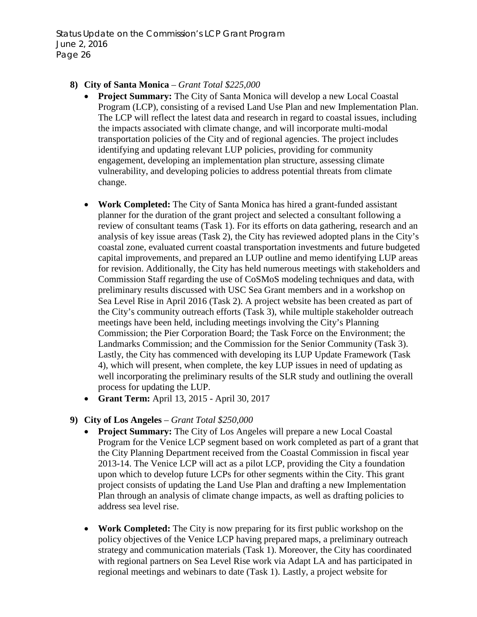### **8) City of Santa Monica** – *Grant Total \$225,000*

- **Project Summary:** The City of Santa Monica will develop a new Local Coastal Program (LCP), consisting of a revised Land Use Plan and new Implementation Plan. The LCP will reflect the latest data and research in regard to coastal issues, including the impacts associated with climate change, and will incorporate multi-modal transportation policies of the City and of regional agencies. The project includes identifying and updating relevant LUP policies, providing for community engagement, developing an implementation plan structure, assessing climate vulnerability, and developing policies to address potential threats from climate change.
- **Work Completed:** The City of Santa Monica has hired a grant-funded assistant planner for the duration of the grant project and selected a consultant following a review of consultant teams (Task 1). For its efforts on data gathering, research and an analysis of key issue areas (Task 2), the City has reviewed adopted plans in the City's coastal zone, evaluated current coastal transportation investments and future budgeted capital improvements, and prepared an LUP outline and memo identifying LUP areas for revision. Additionally, the City has held numerous meetings with stakeholders and Commission Staff regarding the use of CoSMoS modeling techniques and data, with preliminary results discussed with USC Sea Grant members and in a workshop on Sea Level Rise in April 2016 (Task 2). A project website has been created as part of the City's community outreach efforts (Task 3), while multiple stakeholder outreach meetings have been held, including meetings involving the City's Planning Commission; the Pier Corporation Board; the Task Force on the Environment; the Landmarks Commission; and the Commission for the Senior Community (Task 3). Lastly, the City has commenced with developing its LUP Update Framework (Task 4), which will present, when complete, the key LUP issues in need of updating as well incorporating the preliminary results of the SLR study and outlining the overall process for updating the LUP.
- **Grant Term:** April 13, 2015 April 30, 2017

# **9) City of Los Angeles** – *Grant Total \$250,000*

- **Project Summary:** The City of Los Angeles will prepare a new Local Coastal Program for the Venice LCP segment based on work completed as part of a grant that the City Planning Department received from the Coastal Commission in fiscal year 2013-14. The Venice LCP will act as a pilot LCP, providing the City a foundation upon which to develop future LCPs for other segments within the City. This grant project consists of updating the Land Use Plan and drafting a new Implementation Plan through an analysis of climate change impacts, as well as drafting policies to address sea level rise.
- **Work Completed:** The City is now preparing for its first public workshop on the policy objectives of the Venice LCP having prepared maps, a preliminary outreach strategy and communication materials (Task 1). Moreover, the City has coordinated with regional partners on Sea Level Rise work via Adapt LA and has participated in regional meetings and webinars to date (Task 1). Lastly, a project website for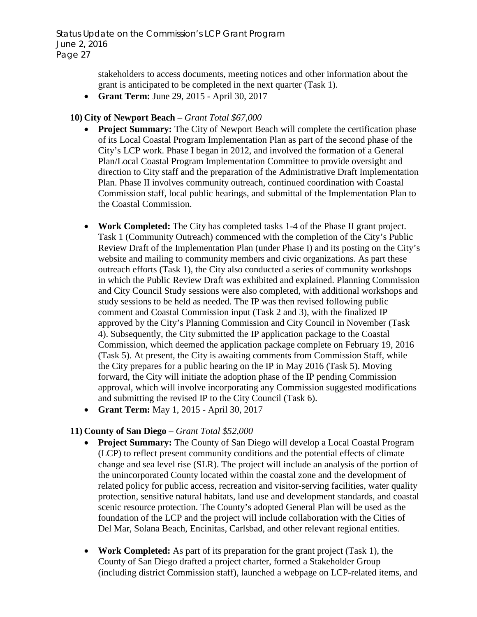> stakeholders to access documents, meeting notices and other information about the grant is anticipated to be completed in the next quarter (Task 1).

• **Grant Term:** June 29, 2015 - April 30, 2017

# **10) City of Newport Beach** – *Grant Total \$67,000*

- **Project Summary:** The City of Newport Beach will complete the certification phase of its Local Coastal Program Implementation Plan as part of the second phase of the City's LCP work. Phase I began in 2012, and involved the formation of a General Plan/Local Coastal Program Implementation Committee to provide oversight and direction to City staff and the preparation of the Administrative Draft Implementation Plan. Phase II involves community outreach, continued coordination with Coastal Commission staff, local public hearings, and submittal of the Implementation Plan to the Coastal Commission.
- **Work Completed:** The City has completed tasks 1-4 of the Phase II grant project. Task 1 (Community Outreach) commenced with the completion of the City's Public Review Draft of the Implementation Plan (under Phase I) and its posting on the City's website and mailing to community members and civic organizations. As part these outreach efforts (Task 1), the City also conducted a series of community workshops in which the Public Review Draft was exhibited and explained. Planning Commission and City Council Study sessions were also completed, with additional workshops and study sessions to be held as needed. The IP was then revised following public comment and Coastal Commission input (Task 2 and 3), with the finalized IP approved by the City's Planning Commission and City Council in November (Task 4). Subsequently, the City submitted the IP application package to the Coastal Commission, which deemed the application package complete on February 19, 2016 (Task 5). At present, the City is awaiting comments from Commission Staff, while the City prepares for a public hearing on the IP in May 2016 (Task 5). Moving forward, the City will initiate the adoption phase of the IP pending Commission approval, which will involve incorporating any Commission suggested modifications and submitting the revised IP to the City Council (Task 6).
- **Grant Term:** May 1, 2015 April 30, 2017

# **11) County of San Diego** – *Grant Total \$52,000*

- **Project Summary:** The County of San Diego will develop a Local Coastal Program (LCP) to reflect present community conditions and the potential effects of climate change and sea level rise (SLR). The project will include an analysis of the portion of the unincorporated County located within the coastal zone and the development of related policy for public access, recreation and visitor-serving facilities, water quality protection, sensitive natural habitats, land use and development standards, and coastal scenic resource protection. The County's adopted General Plan will be used as the foundation of the LCP and the project will include collaboration with the Cities of Del Mar, Solana Beach, Encinitas, Carlsbad, and other relevant regional entities.
- **Work Completed:** As part of its preparation for the grant project (Task 1), the County of San Diego drafted a project charter, formed a Stakeholder Group (including district Commission staff), launched a webpage on LCP-related items, and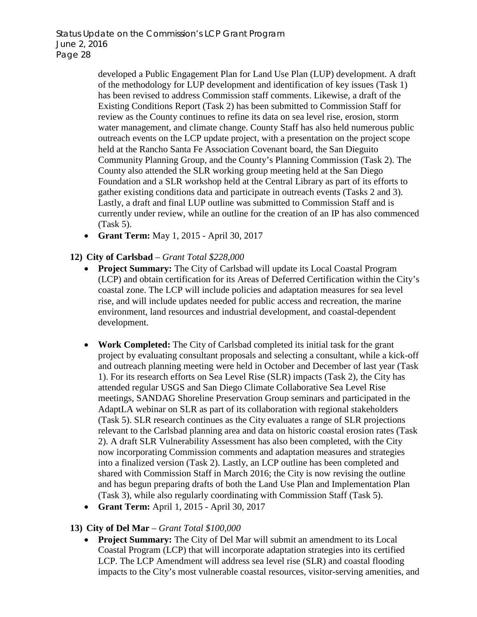developed a Public Engagement Plan for Land Use Plan (LUP) development. A draft of the methodology for LUP development and identification of key issues (Task 1) has been revised to address Commission staff comments. Likewise, a draft of the Existing Conditions Report (Task 2) has been submitted to Commission Staff for review as the County continues to refine its data on sea level rise, erosion, storm water management, and climate change. County Staff has also held numerous public outreach events on the LCP update project, with a presentation on the project scope held at the Rancho Santa Fe Association Covenant board, the San Dieguito Community Planning Group, and the County's Planning Commission (Task 2). The County also attended the SLR working group meeting held at the San Diego Foundation and a SLR workshop held at the Central Library as part of its efforts to gather existing conditions data and participate in outreach events (Tasks 2 and 3). Lastly, a draft and final LUP outline was submitted to Commission Staff and is currently under review, while an outline for the creation of an IP has also commenced (Task 5).

• **Grant Term:** May 1, 2015 - April 30, 2017

# **12) City of Carlsbad** – *Grant Total \$228,000*

- **Project Summary:** The City of Carlsbad will update its Local Coastal Program (LCP) and obtain certification for its Areas of Deferred Certification within the City's coastal zone. The LCP will include policies and adaptation measures for sea level rise, and will include updates needed for public access and recreation, the marine environment, land resources and industrial development, and coastal-dependent development.
- **Work Completed:** The City of Carlsbad completed its initial task for the grant project by evaluating consultant proposals and selecting a consultant, while a kick-off and outreach planning meeting were held in October and December of last year (Task 1). For its research efforts on Sea Level Rise (SLR) impacts (Task 2), the City has attended regular USGS and San Diego Climate Collaborative Sea Level Rise meetings, SANDAG Shoreline Preservation Group seminars and participated in the AdaptLA webinar on SLR as part of its collaboration with regional stakeholders (Task 5). SLR research continues as the City evaluates a range of SLR projections relevant to the Carlsbad planning area and data on historic coastal erosion rates (Task 2). A draft SLR Vulnerability Assessment has also been completed, with the City now incorporating Commission comments and adaptation measures and strategies into a finalized version (Task 2). Lastly, an LCP outline has been completed and shared with Commission Staff in March 2016; the City is now revising the outline and has begun preparing drafts of both the Land Use Plan and Implementation Plan (Task 3), while also regularly coordinating with Commission Staff (Task 5).
- **Grant Term:** April 1, 2015 April 30, 2017

# **13) City of Del Mar** – *Grant Total \$100,000*

• **Project Summary:** The City of Del Mar will submit an amendment to its Local Coastal Program (LCP) that will incorporate adaptation strategies into its certified LCP. The LCP Amendment will address sea level rise (SLR) and coastal flooding impacts to the City's most vulnerable coastal resources, visitor-serving amenities, and